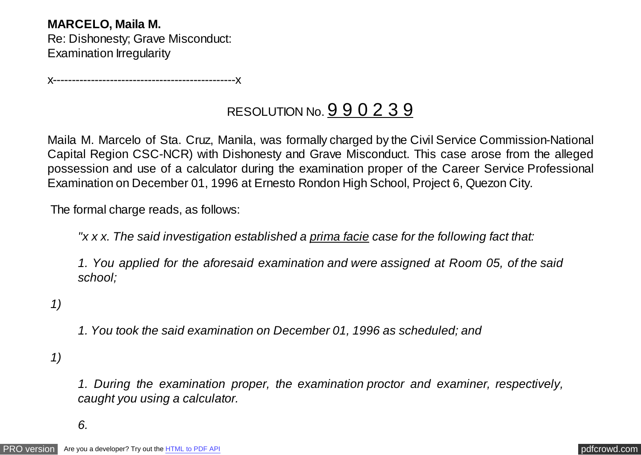**MARCELO, Maila M.** Re: Dishonesty; Grave Misconduct: Examination Irregularity

x------------------------------------------------x

## RESOLUTION No. 9 9 0 2 3 9

Maila M. Marcelo of Sta. Cruz, Manila, was formally charged by the Civil Service Commission-National Capital Region CSC-NCR) with Dishonesty and Grave Misconduct. This case arose from the alleged possession and use of a calculator during the examination proper of the Career Service Professional Examination on December 01, 1996 at Ernesto Rondon High School, Project 6, Quezon City.

The formal charge reads, as follows:

*"x x x. The said investigation established a prima facie case for the following fact that:*

*1. You applied for the aforesaid examination and were assigned at Room 05, of the said school;*

 *1)*

*1. You took the said examination on December 01, 1996 as scheduled; and*

 *1)*

*1. During the examination proper, the examination proctor and examiner, respectively, caught you using a calculator.*

*6.*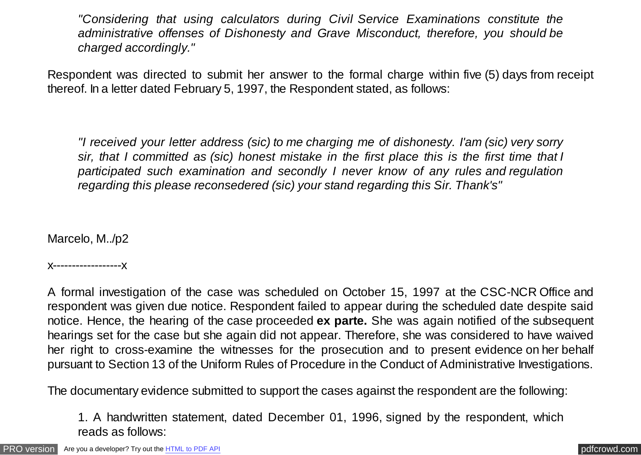*"Considering that using calculators during Civil Service Examinations constitute the administrative offenses of Dishonesty and Grave Misconduct, therefore, you should be charged accordingly."*

Respondent was directed to submit her answer to the formal charge within five (5) days from receipt thereof. In a letter dated February 5, 1997, the Respondent stated, as follows:

*"I received your letter address (sic) to me charging me of dishonesty. I'am (sic) very sorry sir, that I committed as (sic) honest mistake in the first place this is the first time that I participated such examination and secondly I never know of any rules and regulation regarding this please reconsedered (sic) your stand regarding this Sir. Thank's"*

Marcelo, M../p2

x------------------x

A formal investigation of the case was scheduled on October 15, 1997 at the CSC-NCR Office and respondent was given due notice. Respondent failed to appear during the scheduled date despite said notice. Hence, the hearing of the case proceeded **ex parte.** She was again notified of the subsequent hearings set for the case but she again did not appear. Therefore, she was considered to have waived her right to cross-examine the witnesses for the prosecution and to present evidence on her behalf pursuant to Section 13 of the Uniform Rules of Procedure in the Conduct of Administrative Investigations.

The documentary evidence submitted to support the cases against the respondent are the following:

1. A handwritten statement, dated December 01, 1996, signed by the respondent, which reads as follows: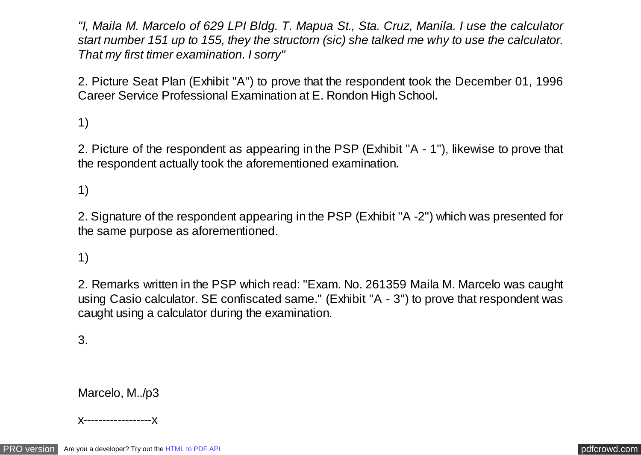*"I, Maila M. Marcelo of 629 LPI Bldg. T. Mapua St., Sta. Cruz, Manila. I use the calculator start number 151 up to 155, they the structorn (sic) she talked me why to use the calculator. That my first timer examination. I sorry"*

2. Picture Seat Plan (Exhibit "A") to prove that the respondent took the December 01, 1996 Career Service Professional Examination at E. Rondon High School.

1)

2. Picture of the respondent as appearing in the PSP (Exhibit "A - 1"), likewise to prove that the respondent actually took the aforementioned examination.

1)

2. Signature of the respondent appearing in the PSP (Exhibit "A -2") which was presented for the same purpose as aforementioned.

1)

2. Remarks written in the PSP which read: "Exam. No. 261359 Maila M. Marcelo was caught using Casio calculator. SE confiscated same." (Exhibit "A - 3") to prove that respondent was caught using a calculator during the examination.

3.

Marcelo, M../p3

x------------------x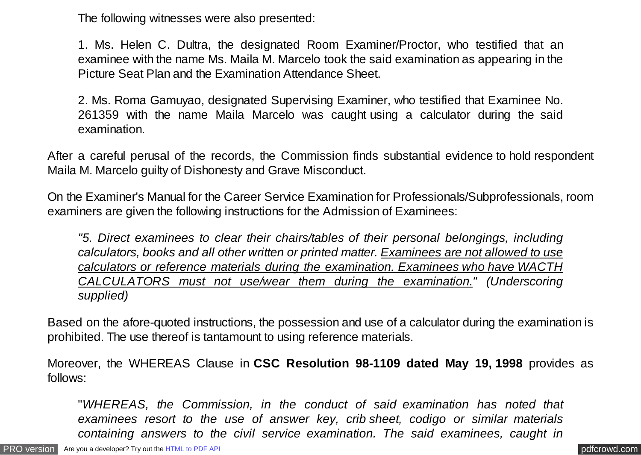The following witnesses were also presented:

1. Ms. Helen C. Dultra, the designated Room Examiner/Proctor, who testified that an examinee with the name Ms. Maila M. Marcelo took the said examination as appearing in the Picture Seat Plan and the Examination Attendance Sheet.

2. Ms. Roma Gamuyao, designated Supervising Examiner, who testified that Examinee No. 261359 with the name Maila Marcelo was caught using a calculator during the said examination.

After a careful perusal of the records, the Commission finds substantial evidence to hold respondent Maila M. Marcelo guilty of Dishonesty and Grave Misconduct.

On the Examiner's Manual for the Career Service Examination for Professionals/Subprofessionals, room examiners are given the following instructions for the Admission of Examinees:

*"5. Direct examinees to clear their chairs/tables of their personal belongings, including calculators, books and all other written or printed matter. Examinees are not allowed to use calculators or reference materials during the examination. Examinees who have WACTH CALCULATORS must not use/wear them during the examination." (Underscoring supplied)*

Based on the afore-quoted instructions, the possession and use of a calculator during the examination is prohibited. The use thereof is tantamount to using reference materials.

Moreover, the WHEREAS Clause in **CSC Resolution 98-1109 dated May 19, 1998** provides as follows:

"*WHEREAS, the Commission, in the conduct of said examination has noted that examinees resort to the use of answer key, crib sheet, codigo or similar materials containing answers to the civil service examination. The said examinees, caught in*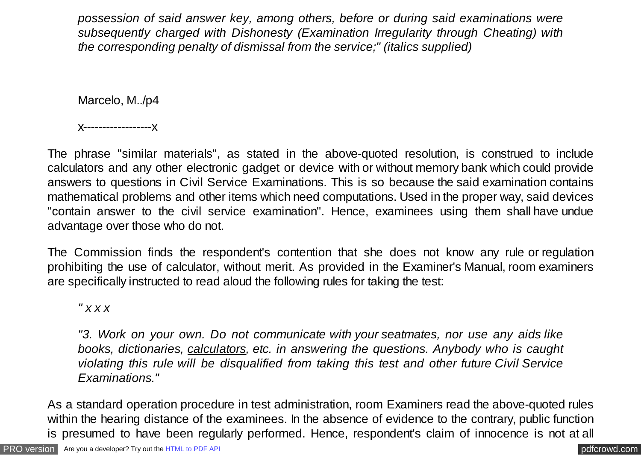*possession of said answer key, among others, before or during said examinations were subsequently charged with Dishonesty (Examination Irregularity through Cheating) with the corresponding penalty of dismissal from the service;" (italics supplied)*

Marcelo, M../p4

x------------------x

The phrase "similar materials", as stated in the above-quoted resolution, is construed to include calculators and any other electronic gadget or device with or without memory bank which could provide answers to questions in Civil Service Examinations. This is so because the said examination contains mathematical problems and other items which need computations. Used in the proper way, said devices "contain answer to the civil service examination". Hence, examinees using them shall have undue advantage over those who do not.

The Commission finds the respondent's contention that she does not know any rule or regulation prohibiting the use of calculator, without merit. As provided in the Examiner's Manual, room examiners are specifically instructed to read aloud the following rules for taking the test:

*" x x x*

*"3. Work on your own. Do not communicate with your seatmates, nor use any aids like books, dictionaries, calculators, etc. in answering the questions. Anybody who is caught violating this rule will be disqualified from taking this test and other future Civil Service Examinations."*

As a standard operation procedure in test administration, room Examiners read the above-quoted rules within the hearing distance of the examinees. In the absence of evidence to the contrary, public function is presumed to have been regularly performed. Hence, respondent's claim of innocence is not at all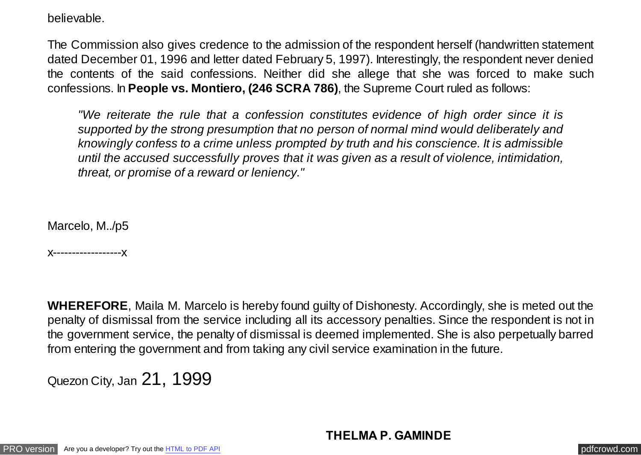believable.

The Commission also gives credence to the admission of the respondent herself (handwritten statement dated December 01, 1996 and letter dated February 5, 1997). Interestingly, the respondent never denied the contents of the said confessions. Neither did she allege that she was forced to make such confessions. In **People vs. Montiero, (246 SCRA 786)**, the Supreme Court ruled as follows:

*"We reiterate the rule that a confession constitutes evidence of high order since it is supported by the strong presumption that no person of normal mind would deliberately and knowingly confess to a crime unless prompted by truth and his conscience. It is admissible until the accused successfully proves that it was given as a result of violence, intimidation, threat, or promise of a reward or leniency."*

Marcelo, M../p5

x------------------x

**WHEREFORE**, Maila M. Marcelo is hereby found guilty of Dishonesty. Accordingly, she is meted out the penalty of dismissal from the service including all its accessory penalties. Since the respondent is not in the government service, the penalty of dismissal is deemed implemented. She is also perpetually barred from entering the government and from taking any civil service examination in the future.

Quezon City, Jan 21, 1999